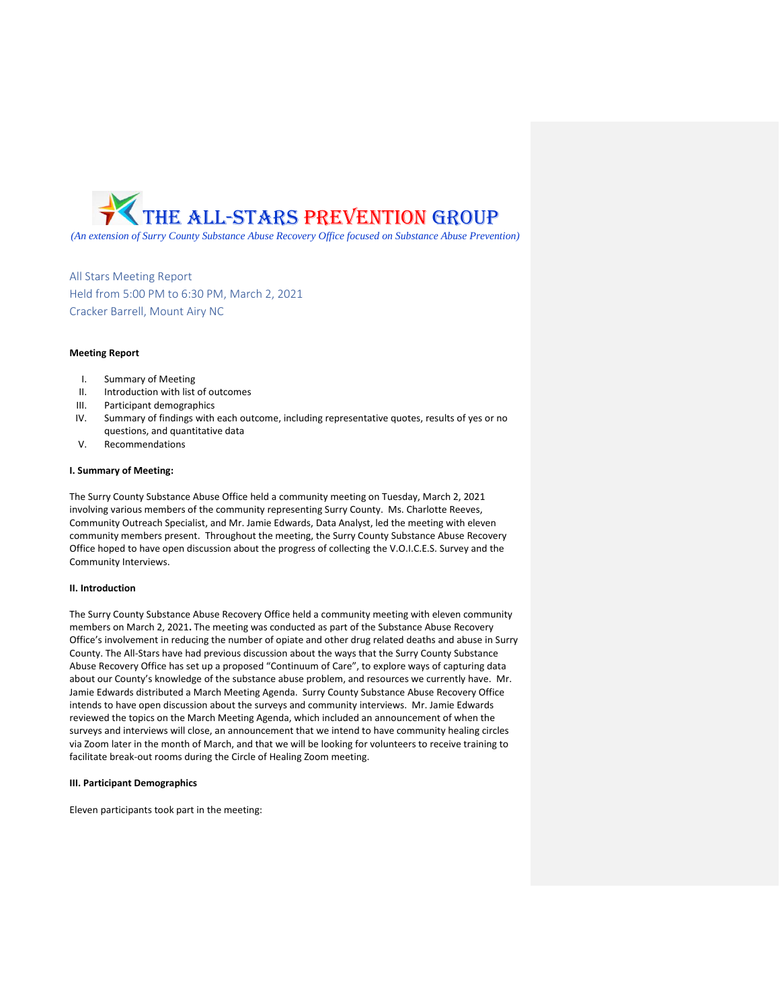

*(An extension of Surry County Substance Abuse Recovery Office focused on Substance Abuse Prevention)*

All Stars Meeting Report Held from 5:00 PM to 6:30 PM, March 2, 2021 Cracker Barrell, Mount Airy NC

#### **Meeting Report**

- I. Summary of Meeting
- II. Introduction with list of outcomes
- III. Participant demographics
- IV. Summary of findings with each outcome, including representative quotes, results of yes or no questions, and quantitative data
- V. Recommendations

## **I. Summary of Meeting:**

The Surry County Substance Abuse Office held a community meeting on Tuesday, March 2, 2021 involving various members of the community representing Surry County. Ms. Charlotte Reeves, Community Outreach Specialist, and Mr. Jamie Edwards, Data Analyst, led the meeting with eleven community members present. Throughout the meeting, the Surry County Substance Abuse Recovery Office hoped to have open discussion about the progress of collecting the V.O.I.C.E.S. Survey and the Community Interviews.

## **II. Introduction**

The Surry County Substance Abuse Recovery Office held a community meeting with eleven community members on March 2, 2021**.** The meeting was conducted as part of the Substance Abuse Recovery Office's involvement in reducing the number of opiate and other drug related deaths and abuse in Surry County. The All-Stars have had previous discussion about the ways that the Surry County Substance Abuse Recovery Office has set up a proposed "Continuum of Care", to explore ways of capturing data about our County's knowledge of the substance abuse problem, and resources we currently have. Mr. Jamie Edwards distributed a March Meeting Agenda. Surry County Substance Abuse Recovery Office intends to have open discussion about the surveys and community interviews. Mr. Jamie Edwards reviewed the topics on the March Meeting Agenda, which included an announcement of when the surveys and interviews will close, an announcement that we intend to have community healing circles via Zoom later in the month of March, and that we will be looking for volunteers to receive training to facilitate break-out rooms during the Circle of Healing Zoom meeting.

#### **III. Participant Demographics**

Eleven participants took part in the meeting: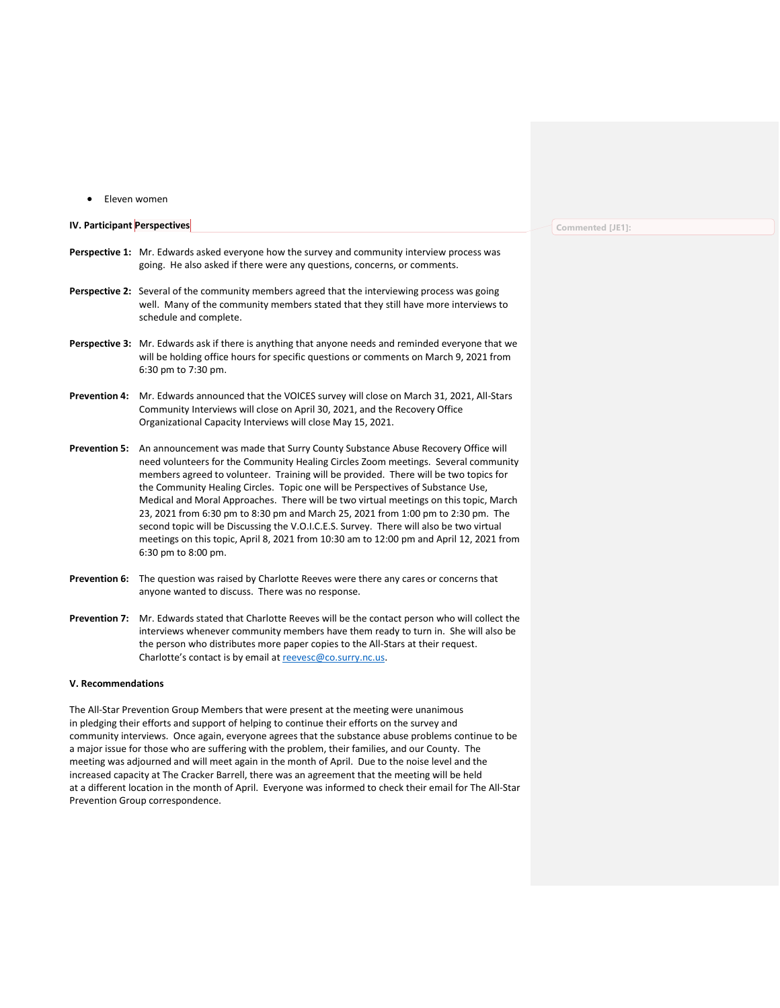• Eleven women

# **IV. Participant Perspectives Perspective 1:** Mr. Edwards asked everyone how the survey and community interview process was going. He also asked if there were any questions, concerns, or comments. Perspective 2: Several of the community members agreed that the interviewing process was going well. Many of the community members stated that they still have more interviews to schedule and complete. **Perspective 3:** Mr. Edwards ask if there is anything that anyone needs and reminded everyone that we will be holding office hours for specific questions or comments on March 9, 2021 from 6:30 pm to 7:30 pm. **Prevention 4:** Mr. Edwards announced that the VOICES survey will close on March 31, 2021, All-Stars Community Interviews will close on April 30, 2021, and the Recovery Office Organizational Capacity Interviews will close May 15, 2021.

- **Prevention 5:** An announcement was made that Surry County Substance Abuse Recovery Office will need volunteers for the Community Healing Circles Zoom meetings. Several community members agreed to volunteer. Training will be provided. There will be two topics for the Community Healing Circles. Topic one will be Perspectives of Substance Use, Medical and Moral Approaches. There will be two virtual meetings on this topic, March 23, 2021 from 6:30 pm to 8:30 pm and March 25, 2021 from 1:00 pm to 2:30 pm. The second topic will be Discussing the V.O.I.C.E.S. Survey. There will also be two virtual meetings on this topic, April 8, 2021 from 10:30 am to 12:00 pm and April 12, 2021 from 6:30 pm to 8:00 pm.
- **Prevention 6:** The question was raised by Charlotte Reeves were there any cares or concerns that anyone wanted to discuss. There was no response.
- **Prevention 7:** Mr. Edwards stated that Charlotte Reeves will be the contact person who will collect the interviews whenever community members have them ready to turn in. She will also be the person who distributes more paper copies to the All-Stars at their request. Charlotte's contact is by email at [reevesc@co.surry.nc.us.](mailto:reevesc@co.surry.nc.us)

## **V. Recommendations**

The All-Star Prevention Group Members that were present at the meeting were unanimous in pledging their efforts and support of helping to continue their efforts on the survey and community interviews. Once again, everyone agrees that the substance abuse problems continue to be a major issue for those who are suffering with the problem, their families, and our County. The meeting was adjourned and will meet again in the month of April. Due to the noise level and the increased capacity at The Cracker Barrell, there was an agreement that the meeting will be held at a different location in the month of April. Everyone was informed to check their email for The All-Star Prevention Group correspondence.

#### **Commented [JE1]:**